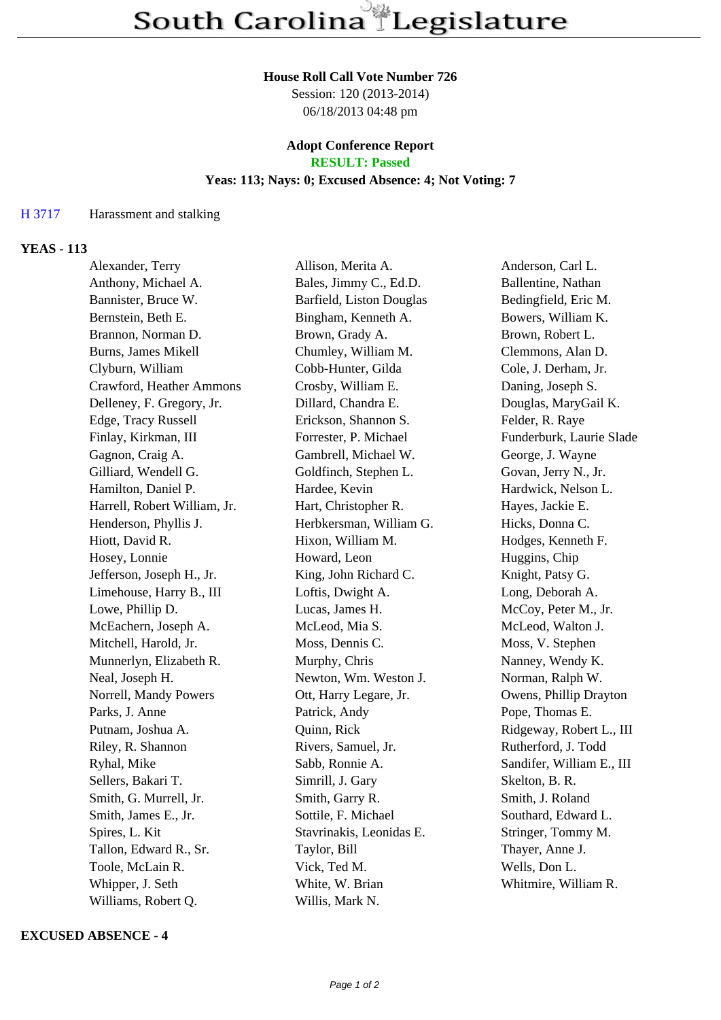#### **House Roll Call Vote Number 726**

Session: 120 (2013-2014) 06/18/2013 04:48 pm

# **Adopt Conference Report**

# **RESULT: Passed**

## **Yeas: 113; Nays: 0; Excused Absence: 4; Not Voting: 7**

### H 3717 Harassment and stalking

#### **YEAS - 113**

| Alexander, Terry             | Allison, Merita A.       | Anderson, Carl L.         |
|------------------------------|--------------------------|---------------------------|
| Anthony, Michael A.          | Bales, Jimmy C., Ed.D.   | Ballentine, Nathan        |
| Bannister, Bruce W.          | Barfield, Liston Douglas | Bedingfield, Eric M.      |
| Bernstein, Beth E.           | Bingham, Kenneth A.      | Bowers, William K.        |
| Brannon, Norman D.           | Brown, Grady A.          | Brown, Robert L.          |
| Burns, James Mikell          | Chumley, William M.      | Clemmons, Alan D.         |
| Clyburn, William             | Cobb-Hunter, Gilda       | Cole, J. Derham, Jr.      |
| Crawford, Heather Ammons     | Crosby, William E.       | Daning, Joseph S.         |
| Delleney, F. Gregory, Jr.    | Dillard, Chandra E.      | Douglas, MaryGail K.      |
| Edge, Tracy Russell          | Erickson, Shannon S.     | Felder, R. Raye           |
| Finlay, Kirkman, III         | Forrester, P. Michael    | Funderburk, Laurie Slade  |
| Gagnon, Craig A.             | Gambrell, Michael W.     | George, J. Wayne          |
| Gilliard, Wendell G.         | Goldfinch, Stephen L.    | Govan, Jerry N., Jr.      |
| Hamilton, Daniel P.          | Hardee, Kevin            | Hardwick, Nelson L.       |
| Harrell, Robert William, Jr. | Hart, Christopher R.     | Hayes, Jackie E.          |
| Henderson, Phyllis J.        | Herbkersman, William G.  | Hicks, Donna C.           |
| Hiott, David R.              | Hixon, William M.        | Hodges, Kenneth F.        |
| Hosey, Lonnie                | Howard, Leon             | Huggins, Chip             |
| Jefferson, Joseph H., Jr.    | King, John Richard C.    | Knight, Patsy G.          |
| Limehouse, Harry B., III     | Loftis, Dwight A.        | Long, Deborah A.          |
| Lowe, Phillip D.             | Lucas, James H.          | McCoy, Peter M., Jr.      |
| McEachern, Joseph A.         | McLeod, Mia S.           | McLeod, Walton J.         |
| Mitchell, Harold, Jr.        | Moss, Dennis C.          | Moss, V. Stephen          |
| Munnerlyn, Elizabeth R.      | Murphy, Chris            | Nanney, Wendy K.          |
| Neal, Joseph H.              | Newton, Wm. Weston J.    | Norman, Ralph W.          |
| Norrell, Mandy Powers        | Ott, Harry Legare, Jr.   | Owens, Phillip Drayton    |
| Parks, J. Anne               | Patrick, Andy            | Pope, Thomas E.           |
| Putnam, Joshua A.            | Quinn, Rick              | Ridgeway, Robert L., III  |
| Riley, R. Shannon            | Rivers, Samuel, Jr.      | Rutherford, J. Todd       |
| Ryhal, Mike                  | Sabb, Ronnie A.          | Sandifer, William E., III |
| Sellers, Bakari T.           | Simrill, J. Gary         | Skelton, B. R.            |
| Smith, G. Murrell, Jr.       | Smith, Garry R.          | Smith, J. Roland          |
| Smith, James E., Jr.         | Sottile, F. Michael      | Southard, Edward L.       |
| Spires, L. Kit               | Stavrinakis, Leonidas E. | Stringer, Tommy M.        |
| Tallon, Edward R., Sr.       | Taylor, Bill             | Thayer, Anne J.           |
| Toole, McLain R.             | Vick, Ted M.             | Wells, Don L.             |
| Whipper, J. Seth             | White, W. Brian          | Whitmire, William R.      |
| Williams, Robert Q.          | Willis, Mark N.          |                           |

#### **EXCUSED ABSENCE - 4**